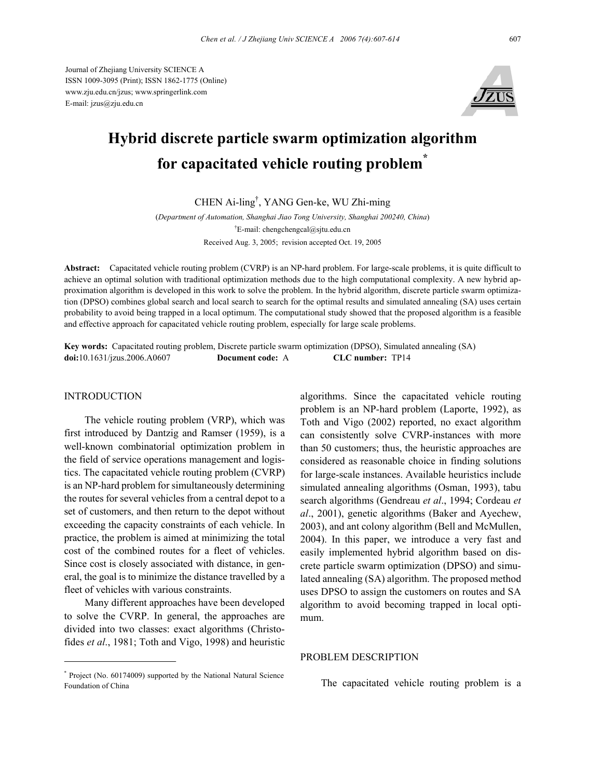Journal of Zhejiang University SCIENCE A ISSN 1009-3095 (Print); ISSN 1862-1775 (Online) www.zju.edu.cn/jzus; www.springerlink.com E-mail: jzus@zju.edu.cn



# **Hybrid discrete particle swarm optimization algorithm for capacitated vehicle routing problem\***

CHEN Ai-ling† , YANG Gen-ke, WU Zhi-ming

(*Department of Automation, Shanghai Jiao Tong University, Shanghai 200240, China*) † E-mail: chengchengcal@sjtu.edu.cn Received Aug. 3, 2005; revision accepted Oct. 19, 2005

**Abstract:** Capacitated vehicle routing problem (CVRP) is an NP-hard problem. For large-scale problems, it is quite difficult to achieve an optimal solution with traditional optimization methods due to the high computational complexity. A new hybrid approximation algorithm is developed in this work to solve the problem. In the hybrid algorithm, discrete particle swarm optimization (DPSO) combines global search and local search to search for the optimal results and simulated annealing (SA) uses certain probability to avoid being trapped in a local optimum. The computational study showed that the proposed algorithm is a feasible and effective approach for capacitated vehicle routing problem, especially for large scale problems.

**Key words:** Capacitated routing problem, Discrete particle swarm optimization (DPSO), Simulated annealing (SA) **doi:**10.1631/jzus.2006.A0607 **Document code:** A **CLC number:** TP14

#### **INTRODUCTION**

The vehicle routing problem (VRP), which was first introduced by Dantzig and Ramser (1959), is a well-known combinatorial optimization problem in the field of service operations management and logistics. The capacitated vehicle routing problem (CVRP) is an NP-hard problem for simultaneously determining the routes for several vehicles from a central depot to a set of customers, and then return to the depot without exceeding the capacity constraints of each vehicle. In practice, the problem is aimed at minimizing the total cost of the combined routes for a fleet of vehicles. Since cost is closely associated with distance, in general, the goal is to minimize the distance travelled by a fleet of vehicles with various constraints.

Many different approaches have been developed to solve the CVRP. In general, the approaches are divided into two classes: exact algorithms (Christofides *et al*., 1981; Toth and Vigo, 1998) and heuristic

\* Project (No. 60174009) supported by the National Natural Science Foundation of China

algorithms. Since the capacitated vehicle routing problem is an NP-hard problem (Laporte, 1992), as Toth and Vigo (2002) reported, no exact algorithm can consistently solve CVRP-instances with more than 50 customers; thus, the heuristic approaches are considered as reasonable choice in finding solutions for large-scale instances. Available heuristics include simulated annealing algorithms (Osman, 1993), tabu search algorithms (Gendreau *et al*., 1994; Cordeau *et al*., 2001), genetic algorithms (Baker and Ayechew, 2003), and ant colony algorithm (Bell and McMullen, 2004). In this paper, we introduce a very fast and easily implemented hybrid algorithm based on discrete particle swarm optimization (DPSO) and simulated annealing (SA) algorithm. The proposed method uses DPSO to assign the customers on routes and SA algorithm to avoid becoming trapped in local optimum.

## PROBLEM DESCRIPTION

The capacitated vehicle routing problem is a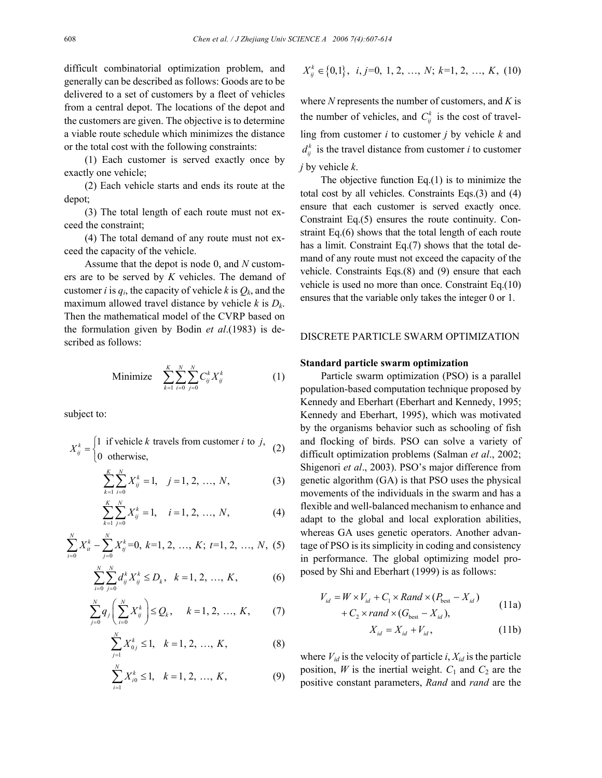difficult combinatorial optimization problem, and generally can be described as follows: Goods are to be delivered to a set of customers by a fleet of vehicles from a central depot. The locations of the depot and the customers are given. The objective is to determine a viable route schedule which minimizes the distance or the total cost with the following constraints:

(1) Each customer is served exactly once by exactly one vehicle;

(2) Each vehicle starts and ends its route at the depot;

(3) The total length of each route must not exceed the constraint;

(4) The total demand of any route must not exceed the capacity of the vehicle.

Assume that the depot is node 0, and *N* customers are to be served by *K* vehicles. The demand of customer *i* is  $q_i$ , the capacity of vehicle *k* is  $Q_k$ , and the maximum allowed travel distance by vehicle *k* is *Dk*. Then the mathematical model of the CVRP based on the formulation given by Bodin *et al*.(1983) is described as follows:

Minimize 
$$
\sum_{k=1}^{K} \sum_{i=0}^{N} \sum_{j=0}^{N} C_{ij}^{k} X_{ij}^{k}
$$
 (1)

subject to:

$$
X_{ij}^{k} = \begin{cases} 1 & \text{if vehicle } k \text{ travels from customer } i \text{ to } j, \\ 0 & \text{otherwise,} \end{cases}
$$
 (2)

$$
\sum_{k=1}^{K} \sum_{i=0}^{N} X_{ij}^{k} = 1, \quad j = 1, 2, ..., N,
$$
 (3)

$$
\sum_{k=1}^{K} \sum_{j=0}^{N} X_{ij}^{k} = 1, \quad i = 1, 2, ..., N,
$$
 (4)

$$
\sum_{i=0}^{N} X_{it}^{k} - \sum_{j=0}^{N} X_{ij}^{k} = 0, k = 1, 2, ..., K; t = 1, 2, ..., N, (5)
$$

$$
\sum_{i=0}^{N} \sum_{j=0}^{N} d_{ij}^{k} X_{ij}^{k} \le D_{k}, \quad k = 1, 2, ..., K,
$$
 (6)

$$
\sum_{j=0}^{N} q_j \left( \sum_{i=0}^{N} X_{ij}^k \right) \le Q_k, \quad k = 1, 2, ..., K, \quad (7)
$$

$$
\sum_{j=1}^{N} X_{0j}^{k} \le 1, \quad k = 1, 2, ..., K,
$$
 (8)

$$
\sum_{i=1}^{N} X_{i0}^{k} \le 1, \quad k = 1, 2, ..., K,
$$
 (9)

$$
X_{ij}^{k} \in \{0,1\}, \ i, j=0, 1, 2, ..., N; k=1, 2, ..., K, (10)
$$

where *N* represents the number of customers, and *K* is the number of vehicles, and  $C_{ij}^k$  is the cost of travelling from customer *i* to customer *j* by vehicle *k* and  $d_{ij}^k$  is the travel distance from customer *i* to customer *j* by vehicle *k*.

The objective function  $Eq.(1)$  is to minimize the total cost by all vehicles. Constraints Eqs.(3) and (4) ensure that each customer is served exactly once. Constraint Eq.(5) ensures the route continuity. Constraint Eq.(6) shows that the total length of each route has a limit. Constraint Eq.(7) shows that the total demand of any route must not exceed the capacity of the vehicle. Constraints Eqs.(8) and (9) ensure that each vehicle is used no more than once. Constraint Eq.(10) ensures that the variable only takes the integer 0 or 1.

## DISCRETE PARTICLE SWARM OPTIMIZATION

#### **Standard particle swarm optimization**

Particle swarm optimization (PSO) is a parallel population-based computation technique proposed by Kennedy and Eberhart (Eberhart and Kennedy, 1995; Kennedy and Eberhart, 1995), which was motivated by the organisms behavior such as schooling of fish and flocking of birds. PSO can solve a variety of difficult optimization problems (Salman *et al*., 2002; Shigenori *et al*., 2003). PSO's major difference from genetic algorithm (GA) is that PSO uses the physical movements of the individuals in the swarm and has a flexible and well-balanced mechanism to enhance and adapt to the global and local exploration abilities, whereas GA uses genetic operators. Another advantage of PSO is its simplicity in coding and consistency in performance. The global optimizing model proposed by Shi and Eberhart (1999) is as follows:

$$
V_{id} = W \times V_{id} + C_1 \times Rand \times (P_{\text{best}} - X_{id})
$$
  
+  $C_2 \times rand \times (G_{\text{best}} - X_{id}),$  (11a)

$$
X_{id} = X_{id} + V_{id},\tag{11b}
$$

where  $V_{id}$  is the velocity of particle  $i$ ,  $X_{id}$  is the particle position, *W* is the inertial weight.  $C_1$  and  $C_2$  are the positive constant parameters, *Rand* and *rand* are the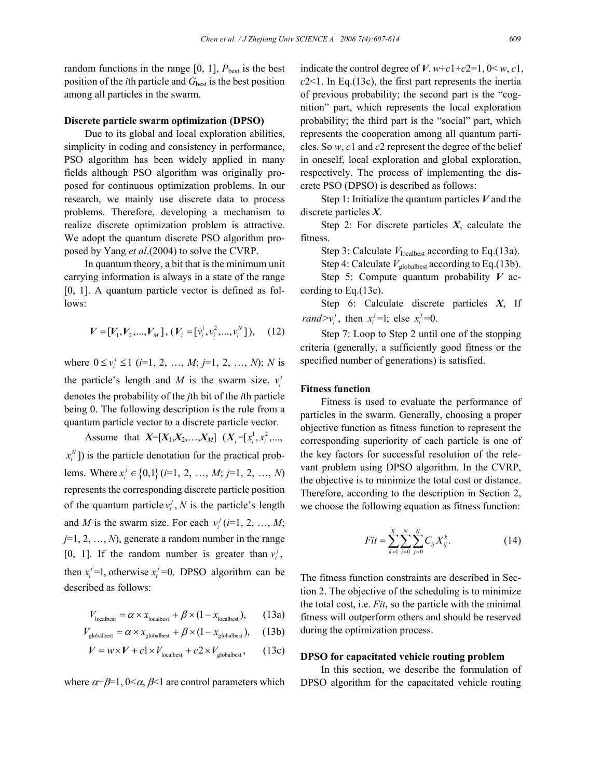random functions in the range  $[0, 1]$ ,  $P_{\text{best}}$  is the best position of the *i*th particle and  $G<sub>best</sub>$  is the best position among all particles in the swarm.

### **Discrete particle swarm optimization (DPSO)**

Due to its global and local exploration abilities, simplicity in coding and consistency in performance, PSO algorithm has been widely applied in many fields although PSO algorithm was originally proposed for continuous optimization problems. In our research, we mainly use discrete data to process problems. Therefore, developing a mechanism to realize discrete optimization problem is attractive. We adopt the quantum discrete PSO algorithm proposed by Yang *et al*.(2004) to solve the CVRP.

In quantum theory, a bit that is the minimum unit carrying information is always in a state of the range [0, 1]. A quantum particle vector is defined as follows:

$$
V = [V_1, V_2, ..., V_M], (V_i = [v_i^1, v_i^2, ..., v_i^N]), \quad (12)
$$

where  $0 \le v_i^j \le 1$  (*i*=1, 2, …, *M*; *j*=1, 2, …, *N*); *N* is the particle's length and *M* is the swarm size.  $v_i^j$ denotes the probability of the *j*th bit of the *i*th particle being 0. The following description is the rule from a quantum particle vector to a discrete particle vector.

Assume that  $X=[X_1, X_2, \ldots, X_M]$   $(X_i=[x_i^1, x_i^2, \ldots,$  $(x_i^N)$  is the particle denotation for the practical problems. Where  $x_i^j \in \{0,1\}$  (*i*=1, 2, …, *M*; *j*=1, 2, …, *N*) represents the corresponding discrete particle position of the quantum particle  $v_i^j$ , N is the particle's length and *M* is the swarm size. For each  $v_i^j$  (*i*=1, 2, …, *M*; *j*=1, 2, …, *N*), generate a random number in the range [0, 1]. If the random number is greater than  $v_i^j$ , then  $x_i^j$  =1, otherwise  $x_i^j$  =0. DPSO algorithm can be described as follows:

$$
V_{\text{localbest}} = \alpha \times x_{\text{localbest}} + \beta \times (1 - x_{\text{localbest}}), \qquad (13a)
$$

$$
V_{\text{globalbest}} = \alpha \times x_{\text{globalbest}} + \beta \times (1 - x_{\text{globalbest}}), \quad (13b)
$$

$$
V = w \times V + c1 \times V_{\text{localbest}} + c2 \times V_{\text{globalbest}}\,,\qquad(13c)
$$

where  $\alpha+\beta=1$ ,  $0<\alpha, \beta<1$  are control parameters which

indicate the control degree of *V*.  $w+c1+c2=1$ ,  $0 \le w, c1$ , *c*2<1. In Eq.(13c), the first part represents the inertia of previous probability; the second part is the "cognition" part, which represents the local exploration probability; the third part is the "social" part, which represents the cooperation among all quantum particles. So *w*, *c*1 and *c*2 represent the degree of the belief in oneself, local exploration and global exploration, respectively. The process of implementing the discrete PSO (DPSO) is described as follows:

Step 1: Initialize the quantum particles *V* and the discrete particles *X*.

Step 2: For discrete particles *X*, calculate the fitness.

Step 3: Calculate *V*<sub>localbest</sub> according to Eq.(13a).

Step 4: Calculate  $V_{\text{globalbest}}$  according to Eq.(13b).

Step 5: Compute quantum probability *V* according to Eq.(13c).

Step 6: Calculate discrete particles *X*, If *rand* $> v_i^j$ , then  $x_i^j = 1$ ; else  $x_i^j = 0$ .

Step 7: Loop to Step 2 until one of the stopping criteria (generally, a sufficiently good fitness or the specified number of generations) is satisfied.

## **Fitness function**

Fitness is used to evaluate the performance of particles in the swarm. Generally, choosing a proper objective function as fitness function to represent the corresponding superiority of each particle is one of the key factors for successful resolution of the relevant problem using DPSO algorithm. In the CVRP, the objective is to minimize the total cost or distance. Therefore, according to the description in Section 2, we choose the following equation as fitness function:

$$
Fit = \sum_{k=1}^{K} \sum_{i=0}^{N} \sum_{j=0}^{N} C_{ij} X_{ij}^{k}.
$$
 (14)

The fitness function constraints are described in Section 2. The objective of the scheduling is to minimize the total cost, i.e. *Fit*, so the particle with the minimal fitness will outperform others and should be reserved during the optimization process.

#### **DPSO for capacitated vehicle routing problem**

In this section, we describe the formulation of DPSO algorithm for the capacitated vehicle routing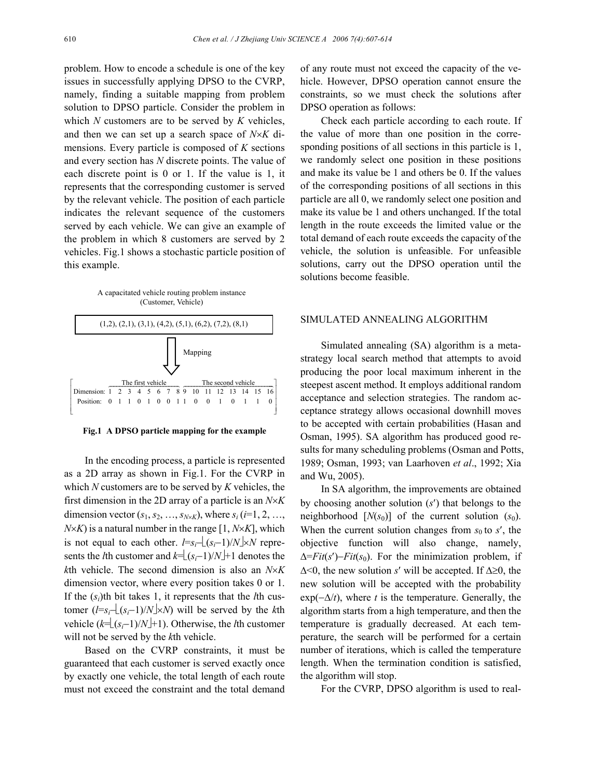problem. How to encode a schedule is one of the key issues in successfully applying DPSO to the CVRP, namely, finding a suitable mapping from problem solution to DPSO particle. Consider the problem in which *N* customers are to be served by *K* vehicles, and then we can set up a search space of *N*×*K* dimensions. Every particle is composed of *K* sections and every section has *N* discrete points. The value of each discrete point is 0 or 1. If the value is 1, it represents that the corresponding customer is served by the relevant vehicle. The position of each particle indicates the relevant sequence of the customers served by each vehicle. We can give an example of the problem in which 8 customers are served by 2 vehicles. Fig.1 shows a stochastic particle position of this example.





**Fig.1 A DPSO particle mapping for the example**

In the encoding process, a particle is represented as a 2D array as shown in Fig.1. For the CVRP in which *N* customers are to be served by *K* vehicles, the first dimension in the 2D array of a particle is an *N*×*K* dimension vector  $(s_1, s_2, ..., s_{N \times K})$ , where  $s_i$  (*i*=1, 2, …,  $N \times K$ ) is a natural number in the range [1,  $N \times K$ ], which is not equal to each other.  $l=s_i-[(s_i-1)/N] \times N$  represents the *l*th customer and  $k=[(s_i-1)/N]+1$  denotes the *k*th vehicle. The second dimension is also an *N*×*K* dimension vector, where every position takes 0 or 1. If the (*si*)th bit takes 1, it represents that the *l*th customer  $(l=s_i-\lfloor(s_i-1)/N\rfloor\times N)$  will be served by the *k*th vehicle  $(k=|(s_i-1)/N|+1)$ . Otherwise, the *l*th customer will not be served by the *k*th vehicle.

Based on the CVRP constraints, it must be guaranteed that each customer is served exactly once by exactly one vehicle, the total length of each route must not exceed the constraint and the total demand of any route must not exceed the capacity of the vehicle. However, DPSO operation cannot ensure the constraints, so we must check the solutions after DPSO operation as follows:

Check each particle according to each route. If the value of more than one position in the corresponding positions of all sections in this particle is 1, we randomly select one position in these positions and make its value be 1 and others be 0. If the values of the corresponding positions of all sections in this particle are all 0, we randomly select one position and make its value be 1 and others unchanged. If the total length in the route exceeds the limited value or the total demand of each route exceeds the capacity of the vehicle, the solution is unfeasible. For unfeasible solutions, carry out the DPSO operation until the solutions become feasible.

## SIMULATED ANNEALING ALGORITHM

Simulated annealing (SA) algorithm is a metastrategy local search method that attempts to avoid producing the poor local maximum inherent in the steepest ascent method. It employs additional random acceptance and selection strategies. The random acceptance strategy allows occasional downhill moves to be accepted with certain probabilities (Hasan and Osman, 1995). SA algorithm has produced good results for many scheduling problems (Osman and Potts, 1989; Osman, 1993; van Laarhoven *et al*., 1992; Xia and Wu, 2005).

In SA algorithm, the improvements are obtained by choosing another solution (*s*′) that belongs to the neighborhood  $[N(s_0)]$  of the current solution  $(s_0)$ . When the current solution changes from  $s_0$  to  $s'$ , the objective function will also change, namely, ∆=*Fit*(*s*′)−*Fit*(*s*0). For the minimization problem, if ∆<0, the new solution *s*′ will be accepted. If ∆≥0, the new solution will be accepted with the probability  $exp(-\Delta/t)$ , where *t* is the temperature. Generally, the algorithm starts from a high temperature, and then the temperature is gradually decreased. At each temperature, the search will be performed for a certain number of iterations, which is called the temperature length. When the termination condition is satisfied, the algorithm will stop.

For the CVRP, DPSO algorithm is used to real-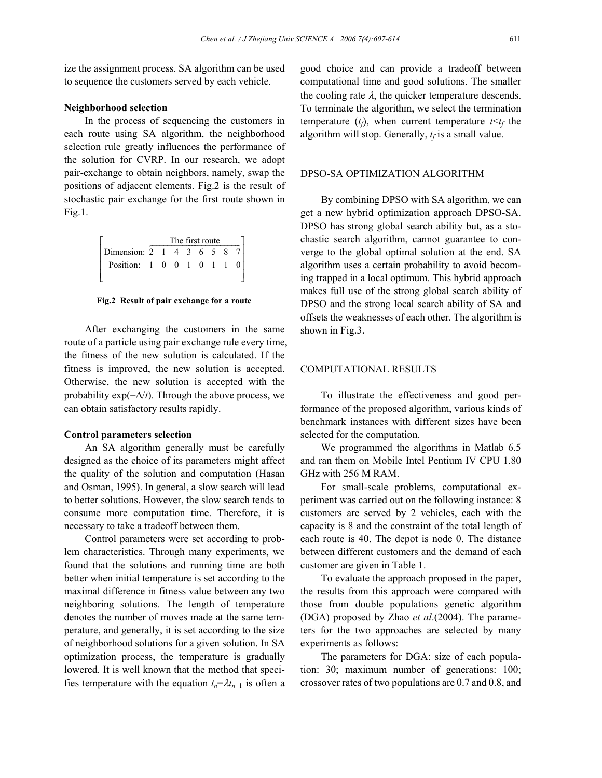ize the assignment process. SA algorithm can be used to sequence the customers served by each vehicle.

#### **Neighborhood selection**

In the process of sequencing the customers in each route using SA algorithm, the neighborhood selection rule greatly influences the performance of the solution for CVRP. In our research, we adopt pair-exchange to obtain neighbors, namely, swap the positions of adjacent elements. Fig.2 is the result of stochastic pair exchange for the first route shown in Fig.1.

|                          | The first route |  |  |  |  |  |  |  |  |
|--------------------------|-----------------|--|--|--|--|--|--|--|--|
| Dimension: 2 1 4 3 6 5 8 |                 |  |  |  |  |  |  |  |  |
| Position: 1 0 0 1 0 1 1  |                 |  |  |  |  |  |  |  |  |

**Fig.2 Result of pair exchange for a route**

After exchanging the customers in the same route of a particle using pair exchange rule every time, the fitness of the new solution is calculated. If the fitness is improved, the new solution is accepted. Otherwise, the new solution is accepted with the probability exp(−∆/*t*). Through the above process, we can obtain satisfactory results rapidly.

#### **Control parameters selection**

An SA algorithm generally must be carefully designed as the choice of its parameters might affect the quality of the solution and computation (Hasan and Osman, 1995). In general, a slow search will lead to better solutions. However, the slow search tends to consume more computation time. Therefore, it is necessary to take a tradeoff between them.

Control parameters were set according to problem characteristics. Through many experiments, we found that the solutions and running time are both better when initial temperature is set according to the maximal difference in fitness value between any two neighboring solutions. The length of temperature denotes the number of moves made at the same temperature, and generally, it is set according to the size of neighborhood solutions for a given solution. In SA optimization process, the temperature is gradually lowered. It is well known that the method that specifies temperature with the equation  $t_n = \lambda t_{n-1}$  is often a

good choice and can provide a tradeoff between computational time and good solutions. The smaller the cooling rate  $\lambda$ , the quicker temperature descends. To terminate the algorithm, we select the termination temperature  $(t_f)$ , when current temperature  $t \le t_f$  the algorithm will stop. Generally,  $t_f$  is a small value.

## DPSO-SA OPTIMIZATION ALGORITHM

By combining DPSO with SA algorithm, we can get a new hybrid optimization approach DPSO-SA. DPSO has strong global search ability but, as a stochastic search algorithm, cannot guarantee to converge to the global optimal solution at the end. SA algorithm uses a certain probability to avoid becoming trapped in a local optimum. This hybrid approach makes full use of the strong global search ability of DPSO and the strong local search ability of SA and offsets the weaknesses of each other. The algorithm is shown in Fig.3.

## COMPUTATIONAL RESULTS

To illustrate the effectiveness and good performance of the proposed algorithm, various kinds of benchmark instances with different sizes have been selected for the computation.

We programmed the algorithms in Matlab 6.5 and ran them on Mobile Intel Pentium IV CPU 1.80 GHz with 256 M RAM.

For small-scale problems, computational experiment was carried out on the following instance: 8 customers are served by 2 vehicles, each with the capacity is 8 and the constraint of the total length of each route is 40. The depot is node 0. The distance between different customers and the demand of each customer are given in Table 1.

To evaluate the approach proposed in the paper, the results from this approach were compared with those from double populations genetic algorithm (DGA) proposed by Zhao *et al*.(2004). The parameters for the two approaches are selected by many experiments as follows:

The parameters for DGA: size of each population: 30; maximum number of generations: 100; crossover rates of two populations are 0.7 and 0.8, and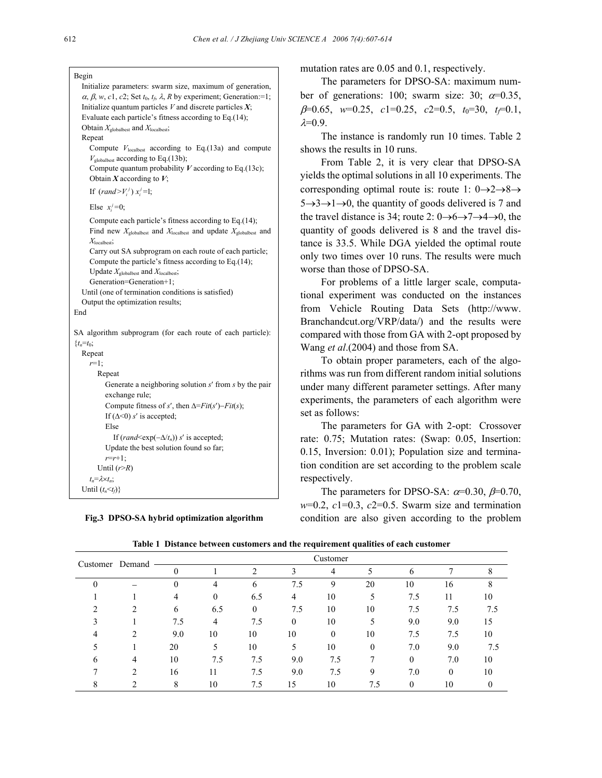| Begin                                                                                                              |  |  |  |  |  |  |  |
|--------------------------------------------------------------------------------------------------------------------|--|--|--|--|--|--|--|
| Initialize parameters: swarm size, maximum of generation,                                                          |  |  |  |  |  |  |  |
| $\alpha$ , $\beta$ , w, c1, c2; Set $t_0$ , $t_f$ , $\lambda$ , R by experiment; Generation:=1;                    |  |  |  |  |  |  |  |
| Initialize quantum particles $V$ and discrete particles $X$ ;                                                      |  |  |  |  |  |  |  |
| Evaluate each particle's fitness according to Eq.(14);                                                             |  |  |  |  |  |  |  |
| Obtain $X_{\text{globalbest}}$ and $X_{\text{localbest}}$ ,                                                        |  |  |  |  |  |  |  |
| Repeat                                                                                                             |  |  |  |  |  |  |  |
| Compute $V_{\text{localbest}}$ according to Eq.(13a) and compute<br>$V_{\text{globalbest}}$ according to Eq.(13b); |  |  |  |  |  |  |  |
| Compute quantum probability $V$ according to Eq.(13c);<br>Obtain X according to $V$ ;                              |  |  |  |  |  |  |  |
| If $(rand>V_i^j)x_i^j=1;$                                                                                          |  |  |  |  |  |  |  |
| Else $x_i^j=0$ ;                                                                                                   |  |  |  |  |  |  |  |
| Compute each particle's fitness according to Eq.(14);                                                              |  |  |  |  |  |  |  |
| Find new $X_{\text{globalbest}}$ and $X_{\text{localbest}}$ and update $X_{\text{globalbest}}$ and                 |  |  |  |  |  |  |  |
| $X_{\text{localbest}}$                                                                                             |  |  |  |  |  |  |  |
| Carry out SA subprogram on each route of each particle;                                                            |  |  |  |  |  |  |  |
| Compute the particle's fitness according to Eq.(14);                                                               |  |  |  |  |  |  |  |
| Update $X_{\text{globalbest}}$ and $X_{\text{localbest}}$ ;<br>Generation=Generation+1;                            |  |  |  |  |  |  |  |
| Until (one of termination conditions is satisfied)                                                                 |  |  |  |  |  |  |  |
| Output the optimization results;                                                                                   |  |  |  |  |  |  |  |
| End                                                                                                                |  |  |  |  |  |  |  |
|                                                                                                                    |  |  |  |  |  |  |  |
| SA algorithm subprogram (for each route of each particle):                                                         |  |  |  |  |  |  |  |
| $\{t_n = t_0\}$                                                                                                    |  |  |  |  |  |  |  |
| Repeat                                                                                                             |  |  |  |  |  |  |  |
| $r=1$ ;                                                                                                            |  |  |  |  |  |  |  |
| Repeat                                                                                                             |  |  |  |  |  |  |  |
| Generate a neighboring solution $s'$ from $s$ by the pair                                                          |  |  |  |  |  |  |  |
| exchange rule;                                                                                                     |  |  |  |  |  |  |  |
| Compute fitness of s', then $\Delta=Fit(s')-Fit(s);$                                                               |  |  |  |  |  |  |  |
| If $(\Delta < 0)$ s' is accepted;<br>Else                                                                          |  |  |  |  |  |  |  |
|                                                                                                                    |  |  |  |  |  |  |  |
| If $(rand \leq \exp(-\Delta/t_n))$ s' is accepted;<br>Update the best solution found so far;                       |  |  |  |  |  |  |  |
| $r=r+1$ ;                                                                                                          |  |  |  |  |  |  |  |
| Until $(r > R)$                                                                                                    |  |  |  |  |  |  |  |
| $t_n = \lambda \times t_n;$                                                                                        |  |  |  |  |  |  |  |
| Until $(t_n \leq t_f)$                                                                                             |  |  |  |  |  |  |  |

**Fig.3 DPSO-SA hybrid optimization algorithm** 

mutation rates are 0.05 and 0.1, respectively.

The parameters for DPSO-SA: maximum number of generations: 100; swarm size: 30;  $\alpha = 0.35$ , β=0.65, *w*=0.25, *c*1=0.25, *c*2=0.5, *t*0=30, *tf*=0.1,  $\lambda=0.9$ .

The instance is randomly run 10 times. Table 2 shows the results in 10 runs.

From Table 2, it is very clear that DPSO-SA yields the optimal solutions in all 10 experiments. The corresponding optimal route is: route 1:  $0 \rightarrow 2 \rightarrow 8 \rightarrow$  $5 \rightarrow 3 \rightarrow 1 \rightarrow 0$ , the quantity of goods delivered is 7 and the travel distance is 34; route 2:  $0 \rightarrow 6 \rightarrow 7 \rightarrow 4 \rightarrow 0$ , the quantity of goods delivered is 8 and the travel distance is 33.5. While DGA yielded the optimal route only two times over 10 runs. The results were much worse than those of DPSO-SA.

For problems of a little larger scale, computational experiment was conducted on the instances from Vehicle Routing Data Sets (http://www. Branchandcut.org/VRP/data/) and the results were compared with those from GA with 2-opt proposed by Wang *et al*.(2004) and those from SA.

To obtain proper parameters, each of the algorithms was run from different random initial solutions under many different parameter settings. After many experiments, the parameters of each algorithm were set as follows:

The parameters for GA with 2-opt: Crossover rate: 0.75; Mutation rates: (Swap: 0.05, Insertion: 0.15, Inversion: 0.01); Population size and termination condition are set according to the problem scale respectively.

The parameters for DPSO-SA:  $\alpha$ =0.30,  $\beta$ =0.70,  $w=0.2$ ,  $c1=0.3$ ,  $c2=0.5$ . Swarm size and termination condition are also given according to the problem

| Customer Demand |                | Customer |                  |          |          |     |          |              |          |     |
|-----------------|----------------|----------|------------------|----------|----------|-----|----------|--------------|----------|-----|
|                 |                |          |                  | ↑        | 3        | 4   |          | 6            |          |     |
|                 |                | $\theta$ | 4                | 6        | 7.5      | 9   | 20       | 10           | 16       |     |
|                 |                | 4        | $\boldsymbol{0}$ | 6.5      | 4        | 10  |          | 7.5          | 11       | 10  |
|                 | 2              | 6        | 6.5              | $\theta$ | 7.5      | 10  | 10       | 7.5          | 7.5      | 7.5 |
|                 |                | 7.5      | 4                | 7.5      | $\theta$ | 10  |          | 9.0          | 9.0      | 15  |
| 4               | 2              | 9.0      | 10               | 10       | 10       | 0   | 10       | 7.5          | 7.5      | 10  |
|                 |                | 20       | 5                | 10       | 5        | 10  | $\Omega$ | 7.0          | 9.0      | 7.5 |
| 6               | 4              | 10       | 7.5              | 7.5      | 9.0      | 7.5 |          | $\mathbf{0}$ | 7.0      | 10  |
|                 | $\mathfrak{D}$ | 16       | 11               | 7.5      | 9.0      | 7.5 | 9        | 7.0          | $\Omega$ | 10  |
|                 |                | 8        | 10               | 7.5      | 15       | 10  | 7.5      | $\theta$     | 10       |     |

**Table 1 Distance between customers and the requirement qualities of each customer**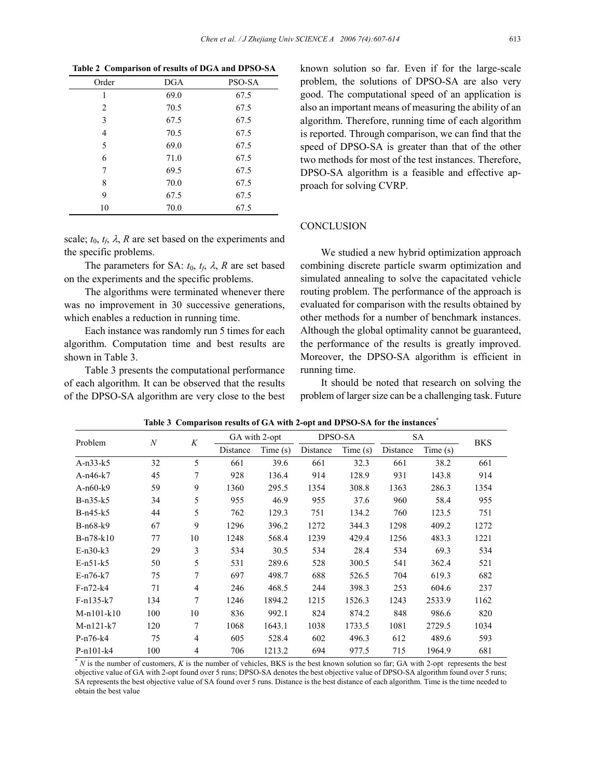| Order | <b>DGA</b> | PSO-SA |
|-------|------------|--------|
| 1     | 69.0       | 67.5   |
| 2     | 70.5       | 67.5   |
| 3     | 67.5       | 67.5   |
| 4     | 70.5       | 67.5   |
| 5     | 69.0       | 67.5   |
| 6     | 71.0       | 67.5   |
| 7     | 69.5       | 67.5   |
| 8     | 70.0       | 67.5   |
| 9     | 67.5       | 67.5   |
| 10    | 70.0       | 67.5   |

|  |  | Table 2 Comparison of results of DGA and DPSO-SA |
|--|--|--------------------------------------------------|
|  |  |                                                  |

scale;  $t_0$ ,  $t_f$ ,  $\lambda$ ,  $R$  are set based on the experiments and the specific problems.

The parameters for SA:  $t_0$ ,  $t_f$ ,  $\lambda$ , R are set based on the experiments and the specific problems.

The algorithms were terminated whenever there was no improvement in 30 successive generations, which enables a reduction in running time.

Each instance was randomly run 5 times for each algorithm. Computation time and best results are shown in Table 3.

Table 3 presents the computational performance of each algorithm. It can be observed that the results of the DPSO-SA algorithm are very close to the best known solution so far. Even if for the large-scale problem, the solutions of DPSO-SA are also very good. The computational speed of an application is also an important means of measuring the ability of an algorithm. Therefore, running time of each algorithm is reported. Through comparison, we can find that the speed of DPSO-SA is greater than that of the other two methods for most of the test instances. Therefore, DPSO-SA algorithm is a feasible and effective approach for solving CVRP.

## **CONCLUSION**

We studied a new hybrid optimization approach combining discrete particle swarm optimization and simulated annealing to solve the capacitated vehicle routing problem. The performance of the approach is evaluated for comparison with the results obtained by other methods for a number of benchmark instances. Although the global optimality cannot be guaranteed, the performance of the results is greatly improved. Moreover, the DPSO-SA algorithm is efficient in running time.

It should be noted that research on solving the problem of larger size can be a challenging task. Future

| Problem      | $\boldsymbol{N}$ | K              | GA with 2-opt |         | DPSO-SA  |         | SA       |         | <b>BKS</b> |
|--------------|------------------|----------------|---------------|---------|----------|---------|----------|---------|------------|
|              |                  |                | Distance      | Time(s) | Distance | Time(s) | Distance | Time(s) |            |
| $A-n33-k5$   | 32               | 5              | 661           | 39.6    | 661      | 32.3    | 661      | 38.2    | 661        |
| $A-n46-k7$   | 45               | 7              | 928           | 136.4   | 914      | 128.9   | 931      | 143.8   | 914        |
| $A-n60-k9$   | 59               | 9              | 1360          | 295.5   | 1354     | 308.8   | 1363     | 286.3   | 1354       |
| $B-n35-k5$   | 34               | 5              | 955           | 46.9    | 955      | 37.6    | 960      | 58.4    | 955        |
| $B-n45-k5$   | 44               | 5              | 762           | 129.3   | 751      | 134.2   | 760      | 123.5   | 751        |
| $B-n68-k9$   | 67               | 9              | 1296          | 396.2   | 1272     | 344.3   | 1298     | 409.2   | 1272       |
| $B-n78-k10$  | 77               | 10             | 1248          | 568.4   | 1239     | 429.4   | 1256     | 483.3   | 1221       |
| $E-n30-k3$   | 29               | 3              | 534           | 30.5    | 534      | 28.4    | 534      | 69.3    | 534        |
| $E-n51-k5$   | 50               | 5              | 531           | 289.6   | 528      | 300.5   | 541      | 362.4   | 521        |
| $E-n76-k7$   | 75               | 7              | 697           | 498.7   | 688      | 526.5   | 704      | 619.3   | 682        |
| $F-n72-k4$   | 71               | $\overline{4}$ | 246           | 468.5   | 244      | 398.3   | 253      | 604.6   | 237        |
| $F-n135-k7$  | 134              | 7              | 1246          | 1894.2  | 1215     | 1526.3  | 1243     | 2533.9  | 1162       |
| $M-n101-k10$ | 100              | 10             | 836           | 992.1   | 824      | 874.2   | 848      | 986.6   | 820        |
| $M-n121-k7$  | 120              | 7              | 1068          | 1643.1  | 1038     | 1733.5  | 1081     | 2729.5  | 1034       |
| $P-n76-k4$   | 75               | 4              | 605           | 528.4   | 602      | 496.3   | 612      | 489.6   | 593        |
| $P-n101-k4$  | 100              | 4              | 706           | 1213.2  | 694      | 977.5   | 715      | 1964.9  | 681        |

Table 3 Comparison results of GA with 2-opt and DPSO-SA for the instances<sup>\*</sup>

\* *N* is the number of customers, *K* is the number of vehicles, BKS is the best known solution so far; GA with 2-opt represents the best objective value of GA with 2-opt found over 5 runs; DPSO-SA denotes the best objective value of DPSO-SA algorithm found over 5 runs; SA represents the best objective value of SA found over 5 runs. Distance is the best distance of each algorithm. Time is the time needed to obtain the best value